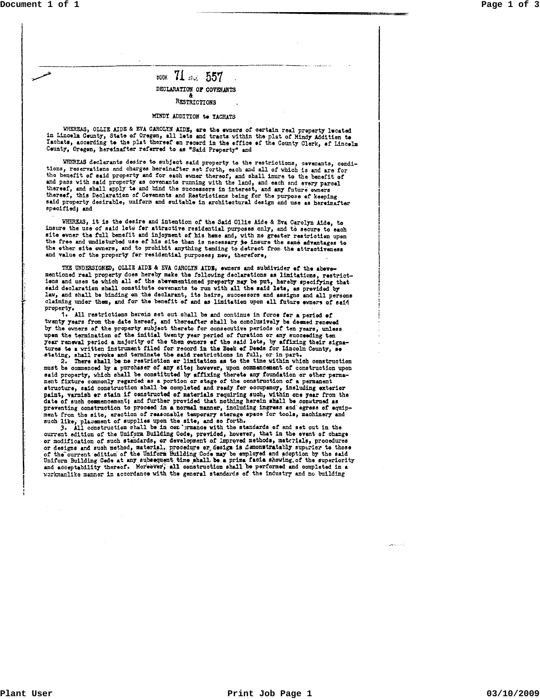## воок 71 ж. 557 DECLARATION OF COVENANTS RESTRICTIONS

## MINDY ADDITION to YACHATS

WHEREAS, OLLIE AIDE & EVA CAROLYN AIDE, are the ewners of certain real preperty lecated in Lincoln Ceunty, State of Oregon, all lets and tracts within the plat of Mindy Addition to Tachats, accerding to the plat thereof on record in the effice of the County Clerk, of Lincoln Ceunty, Oregon, hereinafter referred to as "Said Preperty" and

WHEREAS declarants desire to subject said property to the restrictions, cevenants, conditions, reservations and charges hereinafter set forth, each and all of which is and are for the benefit of said property and for each evner thereof, and shall inure to the benefit of and pass with said property as covenants running with the land, and each and energy parcel<br>thereof, and shall apply to and tind the successors in interest, and any future owners<br>thereof, this Declaration of Covenants and R said property desirable, uniform and suitable in architectural design and use as hereinafter specified; and

WHEREAS, it is the desire and intention of the Said Ollie Aide & Eva Carolyn Aide, to insure the use of said lets for attractive residential purposes only, and to secure to each site event the full benefit and injoyment of his heme and, with no greater restriction upon the free and undisturbed use of his site than is necessary to insure the same advantages to the other site comers, and to prohibit and value of the property for residential purposes; new, therefore,

THE UNDERSIGNED, OLLIE AIDE & EVA CAROLIN AIDE, ewners and subdivider of the abevementioned real property does hereby make the following declarations as limitations, restrictdone and uses to which all of the abevenentioned property may be put, hereby specifying that<br>said declaration shall constitute covenants to run with all the said lets, as provided by law, and shall be binding on the declarant, its heirs, successors and assigns and all persons claiming under them, and for the benefit of and as limitation upon all future ewners of said

property.<br>1. All restrictions herein set out shall be and continue in force for a period of<br>1. All restrictions herein and thereofter shall be conclusively be deemed renew twenty years from the date hereof, and thereafter shall be conclusively be deemed renewed by the owners of the property subject thereto for consecutive periods of ten years, unless upen the termination of the initial twenty year period of furation or any succeeding ten pen die termination of the field for record in the said late, by affixing their removal period a majority of the then owners of the said late, by affixing their signatures to a vritten instrument filed for record in the Bo

must be commenced by a purchaser of any site; however, upon commencement of construction upon must be commenced by a purchaser of any site; however, upon commencement of construction upon<br>said property, which shall be constituted by a fitting therets any foundation or other perma-<br>nent fixture commonly regarded as ment from the site, eraction of reasonable temporary storage space for tools, machinery and such like, placement of supplies upon the site, and so forth.<br>3. All construction shall be in contrastore with the standards of and set out in the

ourrent edition of the Uniform Building Code, provided, however, that in the event of change<br>or modification of such standards, or development of improved methods, materials, procedures or modulation of such method, materials, procedures of the corrections of designs and such method, materials, procedures of the current edition of the Uniform Building Code may be employed and adoption by the said Uniform

03/10/2009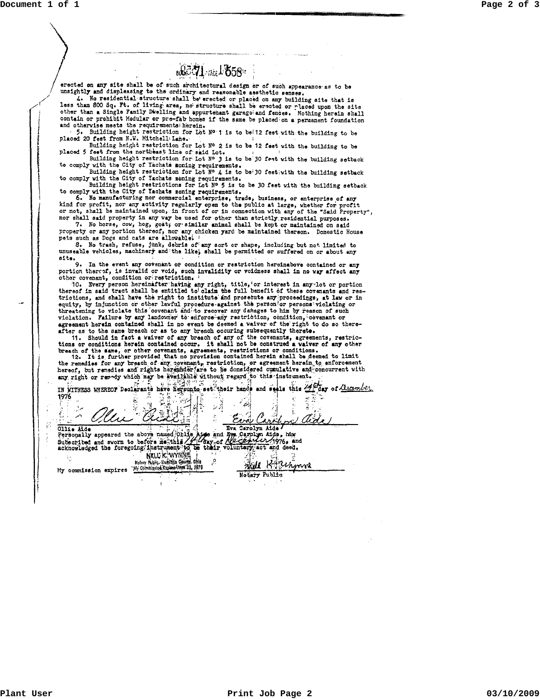Document 1 of 1



03/10/2009